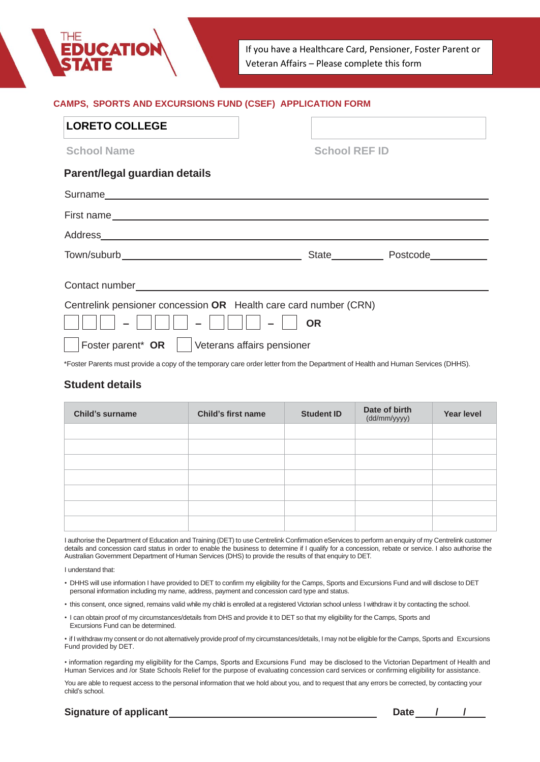| If you have a Healthcare Card, Pensioner, Foster Parent or |
|------------------------------------------------------------|
| Veteran Affairs - Please complete this form                |

# **CAMPS, SPORTS AND EXCURSIONS FUND (CSEF) APPLICATION FORM**

| <b>LORETO COLLEGE</b>                                                         |                      |  |  |  |
|-------------------------------------------------------------------------------|----------------------|--|--|--|
| <b>School Name</b>                                                            | <b>School REF ID</b> |  |  |  |
| Parent/legal guardian details                                                 |                      |  |  |  |
|                                                                               |                      |  |  |  |
|                                                                               |                      |  |  |  |
|                                                                               |                      |  |  |  |
|                                                                               | State Postcode       |  |  |  |
|                                                                               |                      |  |  |  |
| Centrelink pensioner concession OR Health care card number (CRN)<br><b>OR</b> |                      |  |  |  |
| Foster parent* OR   Veterans affairs pensioner                                |                      |  |  |  |

\*Foster Parents must provide a copy of the temporary care order letter from the Department of Health and Human Services (DHHS).

# **Student details**

| <b>Child's surname</b> | <b>Child's first name</b> | <b>Student ID</b> | Date of birth<br>(dd/mm/yyyy) | <b>Year level</b> |
|------------------------|---------------------------|-------------------|-------------------------------|-------------------|
|                        |                           |                   |                               |                   |
|                        |                           |                   |                               |                   |
|                        |                           |                   |                               |                   |
|                        |                           |                   |                               |                   |
|                        |                           |                   |                               |                   |
|                        |                           |                   |                               |                   |
|                        |                           |                   |                               |                   |

I authorise the Department of Education and Training (DET) to use Centrelink Confirmation eServices to perform an enquiry of my Centrelink customer details and concession card status in order to enable the business to determine if I qualify for a concession, rebate or service. I also authorise the Australian Government Department of Human Services (DHS) to provide the results of that enquiry to DET.

I understand that:

- DHHS will use information I have provided to DET to confirm my eligibility for the Camps, Sports and Excursions Fund and will disclose to DET personal information including my name, address, payment and concession card type and status.
- this consent, once signed, remains valid while my child is enrolled at a registered Victorian school unless I withdraw it by contacting the school.
- I can obtain proof of my circumstances/details from DHS and provide it to DET so that my eligibility for the Camps, Sports and Excursions Fund can be determined.

• if I withdraw my consent or do not alternatively provide proof of my circumstances/details, I may not be eligible for the Camps, Sports and Excursions Fund provided by DET.

• information regarding my eligibility for the Camps, Sports and Excursions Fund may be disclosed to the Victorian Department of Health and Human Services and /or State Schools Relief for the purpose of evaluating concession card services or confirming eligibility for assistance.

You are able to request access to the personal information that we hold about you, and to request that any errors be corrected, by contacting your child's school.

| <b>Signature of applicant</b> | Date |  |
|-------------------------------|------|--|
|                               |      |  |

| Date |  |
|------|--|
|      |  |